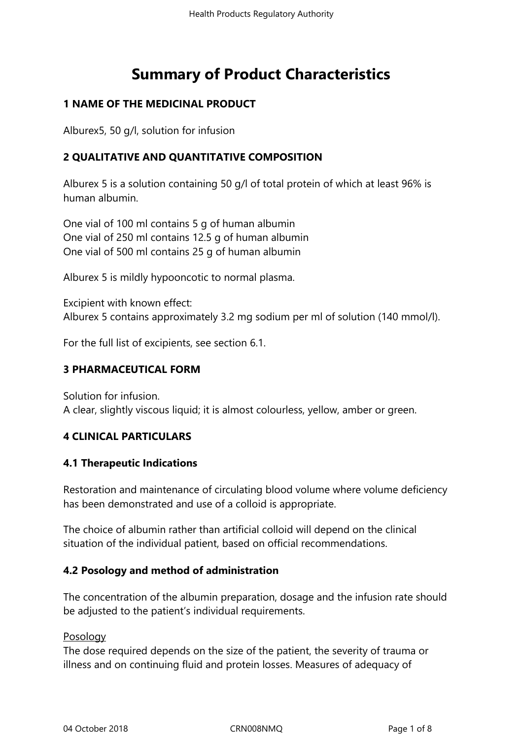# **Summary of Product Characteristics**

# **1 NAME OF THE MEDICINAL PRODUCT**

Alburex5, 50 g/l, solution for infusion

# **2 QUALITATIVE AND QUANTITATIVE COMPOSITION**

Alburex 5 is a solution containing 50 g/l of total protein of which at least 96% is human albumin.

One vial of 100 ml contains 5 g of human albumin One vial of 250 ml contains 12.5 g of human albumin One vial of 500 ml contains 25 g of human albumin

Alburex 5 is mildly hypooncotic to normal plasma.

Excipient with known effect: Alburex 5 contains approximately 3.2 mg sodium per ml of solution (140 mmol/l).

For the full list of excipients, see section 6.1.

# **3 PHARMACEUTICAL FORM**

Solution for infusion. A clear, slightly viscous liquid; it is almost colourless, yellow, amber or green.

# **4 CLINICAL PARTICULARS**

# **4.1 Therapeutic Indications**

Restoration and maintenance of circulating blood volume where volume deficiency has been demonstrated and use of a colloid is appropriate.

The choice of albumin rather than artificial colloid will depend on the clinical situation of the individual patient, based on official recommendations.

# **4.2 Posology and method of administration**

The concentration of the albumin preparation, dosage and the infusion rate should be adjusted to the patient's individual requirements.

### Posology

The dose required depends on the size of the patient, the severity of trauma or illness and on continuing fluid and protein losses. Measures of adequacy of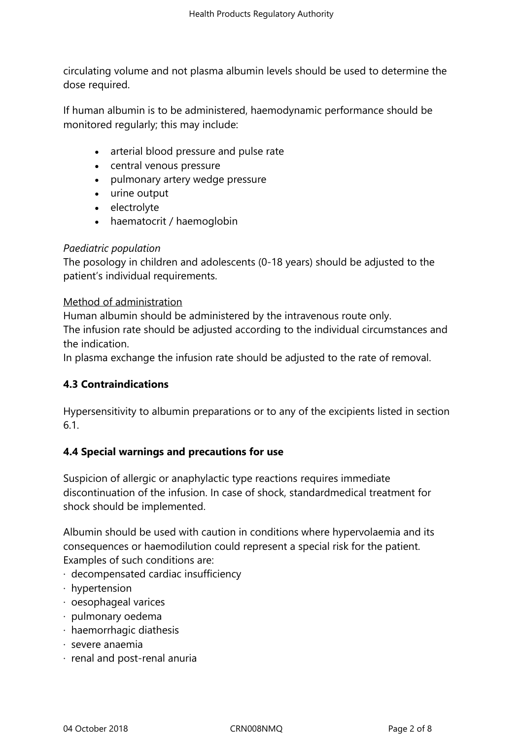circulating volume and not plasma albumin levels should be used to determine the dose required.

If human albumin is to be administered, haemodynamic performance should be monitored regularly; this may include:

- arterial blood pressure and pulse rate
- central venous pressure
- pulmonary artery wedge pressure
- urine output
- electrolyte
- haematocrit / haemoglobin

### *Paediatric population*

The posology in children and adolescents (0-18 years) should be adjusted to the patient's individual requirements.

### Method of administration

Human albumin should be administered by the intravenous route only. The infusion rate should be adjusted according to the individual circumstances and the indication.

In plasma exchange the infusion rate should be adjusted to the rate of removal.

# **4.3 Contraindications**

Hypersensitivity to albumin preparations or to any of the excipients listed in section 6.1.

### **4.4 Special warnings and precautions for use**

Suspicion of allergic or anaphylactic type reactions requires immediate discontinuation of the infusion. In case of shock, standardmedical treatment for shock should be implemented.

Albumin should be used with caution in conditions where hypervolaemia and its consequences or haemodilution could represent a special risk for the patient. Examples of such conditions are:

- · decompensated cardiac insufficiency
- · hypertension
- · oesophageal varices
- · pulmonary oedema
- · haemorrhagic diathesis
- · severe anaemia
- · renal and post-renal anuria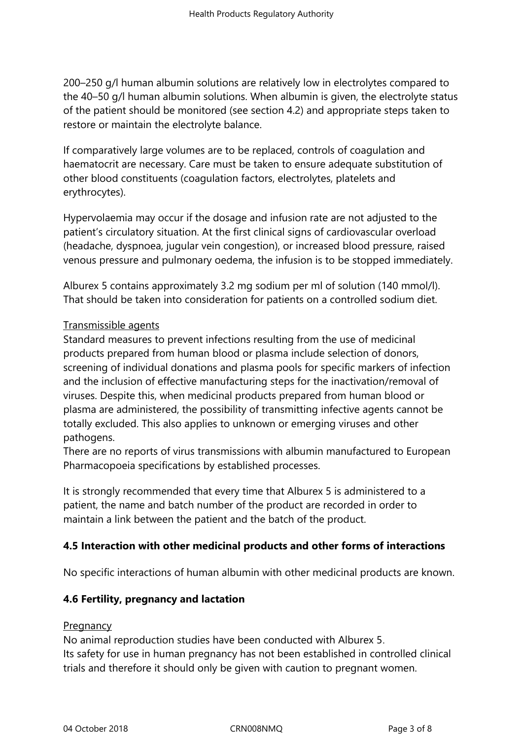200–250 g/l human albumin solutions are relatively low in electrolytes compared to the 40–50 g/l human albumin solutions. When albumin is given, the electrolyte status of the patient should be monitored (see section 4.2) and appropriate steps taken to restore or maintain the electrolyte balance.

If comparatively large volumes are to be replaced, controls of coagulation and haematocrit are necessary. Care must be taken to ensure adequate substitution of other blood constituents (coagulation factors, electrolytes, platelets and erythrocytes).

Hypervolaemia may occur if the dosage and infusion rate are not adjusted to the patient's circulatory situation. At the first clinical signs of cardiovascular overload (headache, dyspnoea, jugular vein congestion), or increased blood pressure, raised venous pressure and pulmonary oedema, the infusion is to be stopped immediately.

Alburex 5 contains approximately 3.2 mg sodium per ml of solution (140 mmol/l). That should be taken into consideration for patients on a controlled sodium diet.

# Transmissible agents

Standard measures to prevent infections resulting from the use of medicinal products prepared from human blood or plasma include selection of donors, screening of individual donations and plasma pools for specific markers of infection and the inclusion of effective manufacturing steps for the inactivation/removal of viruses. Despite this, when medicinal products prepared from human blood or plasma are administered, the possibility of transmitting infective agents cannot be totally excluded. This also applies to unknown or emerging viruses and other pathogens.

There are no reports of virus transmissions with albumin manufactured to European Pharmacopoeia specifications by established processes.

It is strongly recommended that every time that Alburex 5 is administered to a patient, the name and batch number of the product are recorded in order to maintain a link between the patient and the batch of the product.

# **4.5 Interaction with other medicinal products and other forms of interactions**

No specific interactions of human albumin with other medicinal products are known.

# **4.6 Fertility, pregnancy and lactation**

### **Pregnancy**

No animal reproduction studies have been conducted with Alburex 5. Its safety for use in human pregnancy has not been established in controlled clinical trials and therefore it should only be given with caution to pregnant women.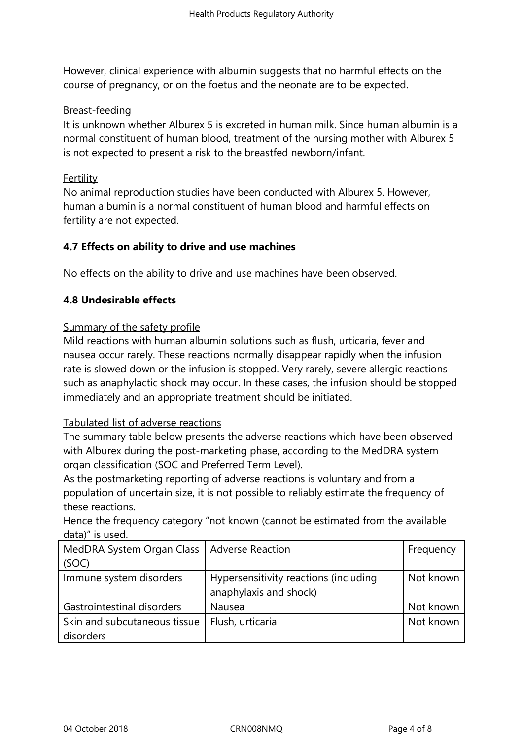However, clinical experience with albumin suggests that no harmful effects on the course of pregnancy, or on the foetus and the neonate are to be expected.

## Breast-feeding

It is unknown whether Alburex 5 is excreted in human milk. Since human albumin is a normal constituent of human blood, treatment of the nursing mother with Alburex 5 is not expected to present a risk to the breastfed newborn/infant.

## Fertility

No animal reproduction studies have been conducted with Alburex 5. However, human albumin is a normal constituent of human blood and harmful effects on fertility are not expected.

# **4.7 Effects on ability to drive and use machines**

No effects on the ability to drive and use machines have been observed.

# **4.8 Undesirable effects**

## Summary of the safety profile

Mild reactions with human albumin solutions such as flush, urticaria, fever and nausea occur rarely. These reactions normally disappear rapidly when the infusion rate is slowed down or the infusion is stopped. Very rarely, severe allergic reactions such as anaphylactic shock may occur. In these cases, the infusion should be stopped immediately and an appropriate treatment should be initiated.

## Tabulated list of adverse reactions

The summary table below presents the adverse reactions which have been observed with Alburex during the post-marketing phase, according to the MedDRA system organ classification (SOC and Preferred Term Level).

As the postmarketing reporting of adverse reactions is voluntary and from a population of uncertain size, it is not possible to reliably estimate the frequency of these reactions.

| Hence the frequency category "not known (cannot be estimated from the available |  |  |  |
|---------------------------------------------------------------------------------|--|--|--|
| data)" is used.                                                                 |  |  |  |
|                                                                                 |  |  |  |

| MedDRA System Organ Class   Adverse Reaction |                                       | Frequency |
|----------------------------------------------|---------------------------------------|-----------|
| (SOC)                                        |                                       |           |
| Immune system disorders                      | Hypersensitivity reactions (including | Not known |
|                                              | anaphylaxis and shock)                |           |
| Gastrointestinal disorders                   | Nausea                                | Not known |
| Skin and subcutaneous tissue                 | Flush, urticaria                      | Not known |
| disorders                                    |                                       |           |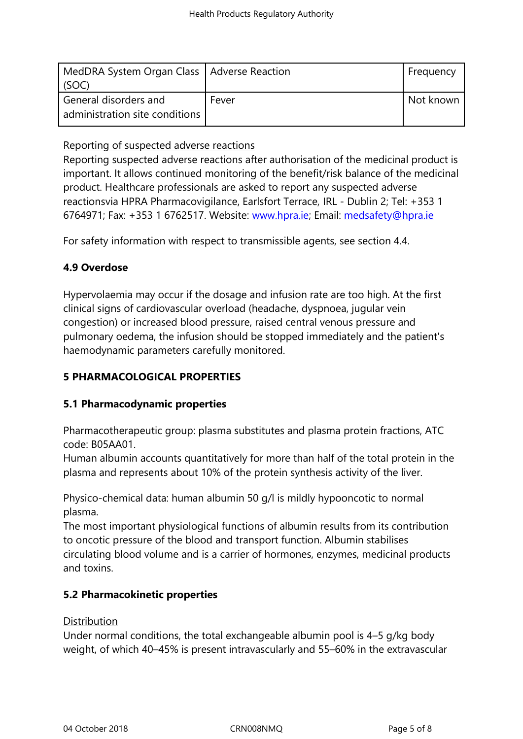| MedDRA System Organ Class   Adverse Reaction<br>(SOC)   |       | Frequency |
|---------------------------------------------------------|-------|-----------|
| General disorders and<br>administration site conditions | Fever | Not known |

# Reporting of suspected adverse reactions

Reporting suspected adverse reactions after authorisation of the medicinal product is important. It allows continued monitoring of the benefit/risk balance of the medicinal product. Healthcare professionals are asked to report any suspected adverse reactionsvia HPRA Pharmacovigilance, Earlsfort Terrace, IRL - Dublin 2; Tel: +353 1 6764971; Fax: +353 1 6762517. Website: www.hpra.ie; Email: medsafety@hpra.ie

For safety information with respect to transmissible agents, see section 4.4.

# **4.9 Overdose**

Hypervolaemia may occur if the dosage and infusion rate are too high. At the first clinical signs of cardiovascular overload (headache, dyspnoea, jugular vein congestion) or increased blood pressure, raised central venous pressure and pulmonary oedema, the infusion should be stopped immediately and the patient's haemodynamic parameters carefully monitored.

# **5 PHARMACOLOGICAL PROPERTIES**

# **5.1 Pharmacodynamic properties**

Pharmacotherapeutic group: plasma substitutes and plasma protein fractions, ATC code: B05AA01.

Human albumin accounts quantitatively for more than half of the total protein in the plasma and represents about 10% of the protein synthesis activity of the liver.

Physico-chemical data: human albumin 50 g/l is mildly hypooncotic to normal plasma.

The most important physiological functions of albumin results from its contribution to oncotic pressure of the blood and transport function. Albumin stabilises circulating blood volume and is a carrier of hormones, enzymes, medicinal products and toxins.

# **5.2 Pharmacokinetic properties**

# **Distribution**

Under normal conditions, the total exchangeable albumin pool is 4–5 g/kg body weight, of which 40–45% is present intravascularly and 55–60% in the extravascular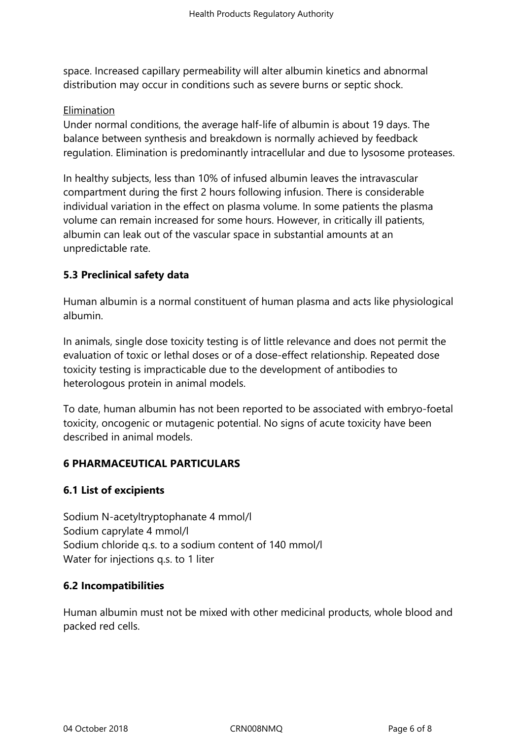space. Increased capillary permeability will alter albumin kinetics and abnormal distribution may occur in conditions such as severe burns or septic shock.

## Elimination

Under normal conditions, the average half-life of albumin is about 19 days. The balance between synthesis and breakdown is normally achieved by feedback regulation. Elimination is predominantly intracellular and due to lysosome proteases.

In healthy subjects, less than 10% of infused albumin leaves the intravascular compartment during the first 2 hours following infusion. There is considerable individual variation in the effect on plasma volume. In some patients the plasma volume can remain increased for some hours. However, in critically ill patients, albumin can leak out of the vascular space in substantial amounts at an unpredictable rate.

# **5.3 Preclinical safety data**

Human albumin is a normal constituent of human plasma and acts like physiological albumin.

In animals, single dose toxicity testing is of little relevance and does not permit the evaluation of toxic or lethal doses or of a dose-effect relationship. Repeated dose toxicity testing is impracticable due to the development of antibodies to heterologous protein in animal models.

To date, human albumin has not been reported to be associated with embryo-foetal toxicity, oncogenic or mutagenic potential. No signs of acute toxicity have been described in animal models.

# **6 PHARMACEUTICAL PARTICULARS**

# **6.1 List of excipients**

Sodium N-acetyltryptophanate 4 mmol/l Sodium caprylate 4 mmol/l Sodium chloride q.s. to a sodium content of 140 mmol/l Water for injections q.s. to 1 liter

### **6.2 Incompatibilities**

Human albumin must not be mixed with other medicinal products, whole blood and packed red cells.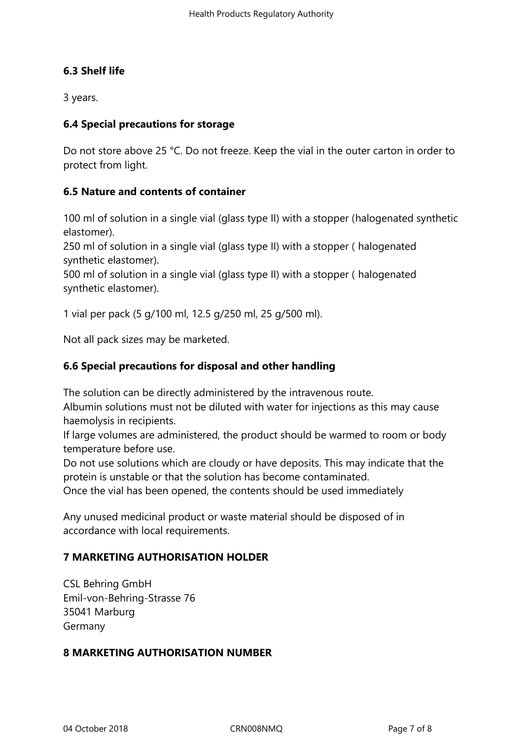# **6.3 Shelf life**

3 years.

## **6.4 Special precautions for storage**

Do not store above 25 °C. Do not freeze. Keep the vial in the outer carton in order to protect from light.

# **6.5 Nature and contents of container**

100 ml of solution in a single vial (glass type II) with a stopper (halogenated synthetic elastomer).

250 ml of solution in a single vial (glass type II) with a stopper ( halogenated synthetic elastomer).

500 ml of solution in a single vial (glass type II) with a stopper ( halogenated synthetic elastomer).

1 vial per pack (5 g/100 ml, 12.5 g/250 ml, 25 g/500 ml).

Not all pack sizes may be marketed.

# **6.6 Special precautions for disposal and other handling**

The solution can be directly administered by the intravenous route.

Albumin solutions must not be diluted with water for injections as this may cause haemolysis in recipients.

If large volumes are administered, the product should be warmed to room or body temperature before use.

Do not use solutions which are cloudy or have deposits. This may indicate that the protein is unstable or that the solution has become contaminated.

Once the vial has been opened, the contents should be used immediately

Any unused medicinal product or waste material should be disposed of in accordance with local requirements.

# **7 MARKETING AUTHORISATION HOLDER**

CSL Behring GmbH Emil-von-Behring-Strasse 76 35041 Marburg Germany

### **8 MARKETING AUTHORISATION NUMBER**